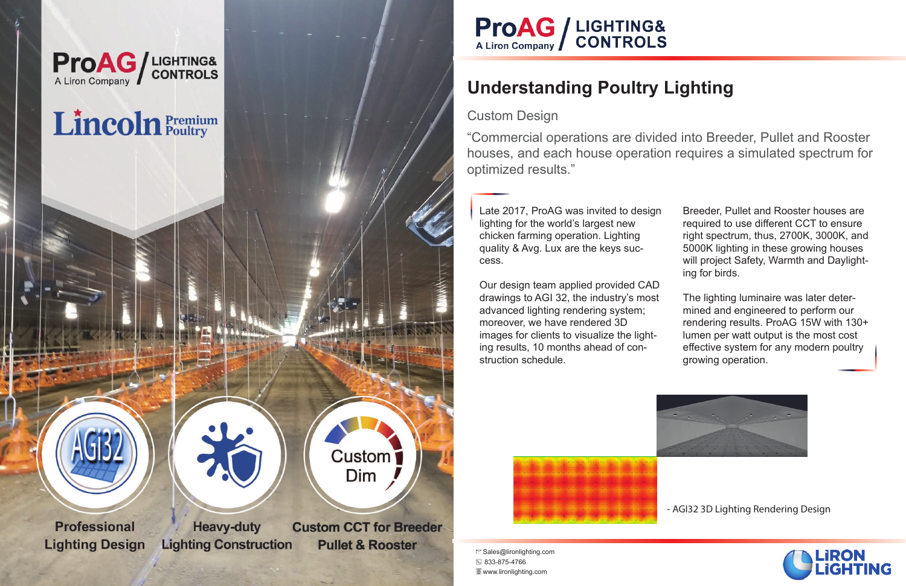

# **ProAG** / LIGHTING&<br>A Liron Company / CONTROLS

## **Understanding Poultry Lighting**

#### Custom Design

Late 2017, ProAG was invited to design lighting for the world's largest new chicken farming operation. Lighting quality & Avg. Lux are the keys success.

Our design team applied provided CAD drawings to AGI 32, the industry's most advanced lighting rendering system; moreover, we have rendered 3D images for clients to visualize the lighting results, 10 months ahead of construction schedule.



 $\Box$  Sales@lironlighting.com 833-875-4766 **Www.lironlighting.com** 

Breeder, Pullet and Rooster houses are required to use different CCT to ensure right spectrum, thus, 2700K, 3000K, and 5000K lighting in these growing houses will project Safety, Warmth and Daylighting for birds.

The lighting luminaire was later determined and engineered to perform our rendering results. ProAG 15W with 130+ lumen per watt output is the most cost effective system for any modern poultry growing operation.



"Commercial operations are divided into Breeder, Pullet and Rooster houses, and each house operation requires a simulated spectrum for optimized results."

- AGI32 3D Lighting Rendering Design